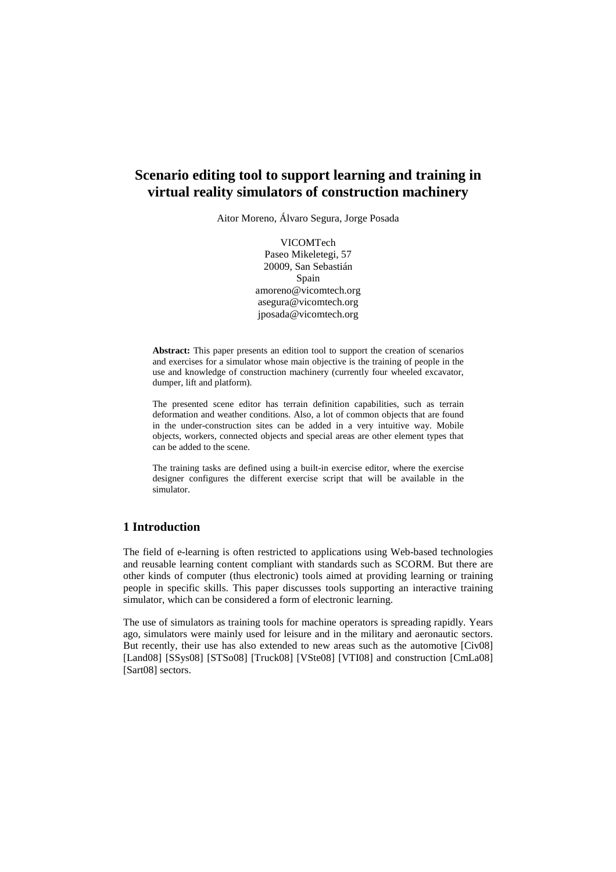# **Scenario editing tool to support learning and training in virtual reality simulators of construction machinery**

Aitor Moreno, Álvaro Segura, Jorge Posada

VICOMTech Paseo Mikeletegi, 57 20009, San Sebastián Spain amoreno@vicomtech.org asegura@vicomtech.org jposada@vicomtech.org

**Abstract:** This paper presents an edition tool to support the creation of scenarios and exercises for a simulator whose main objective is the training of people in the use and knowledge of construction machinery (currently four wheeled excavator, dumper, lift and platform).

The presented scene editor has terrain definition capabilities, such as terrain deformation and weather conditions. Also, a lot of common objects that are found in the under-construction sites can be added in a very intuitive way. Mobile objects, workers, connected objects and special areas are other element types that can be added to the scene.

The training tasks are defined using a built-in exercise editor, where the exercise designer configures the different exercise script that will be available in the simulator.

### **1 Introduction**

The field of e-learning is often restricted to applications using Web-based technologies and reusable learning content compliant with standards such as SCORM. But there are other kinds of computer (thus electronic) tools aimed at providing learning or training people in specific skills. This paper discusses tools supporting an interactive training simulator, which can be considered a form of electronic learning.

The use of simulators as training tools for machine operators is spreading rapidly. Years ago, simulators were mainly used for leisure and in the military and aeronautic sectors. But recently, their use has also extended to new areas such as the automotive [Civ08] [Land08] [SSys08] [STSo08] [Truck08] [VSte08] [VTI08] and construction [CmLa08] [Sart08] sectors.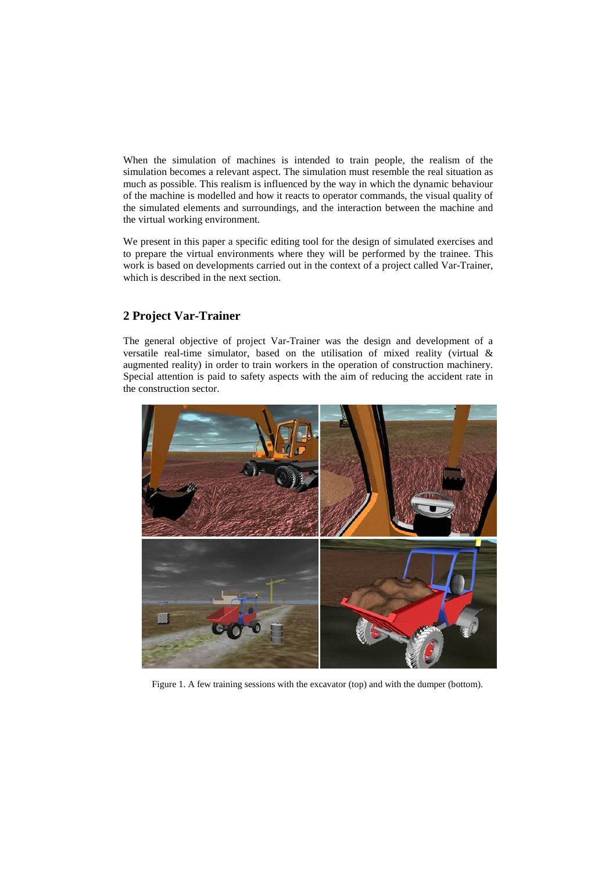When the simulation of machines is intended to train people, the realism of the simulation becomes a relevant aspect. The simulation must resemble the real situation as much as possible. This realism is influenced by the way in which the dynamic behaviour of the machine is modelled and how it reacts to operator commands, the visual quality of the simulated elements and surroundings, and the interaction between the machine and the virtual working environment.

We present in this paper a specific editing tool for the design of simulated exercises and to prepare the virtual environments where they will be performed by the trainee. This work is based on developments carried out in the context of a project called Var-Trainer, which is described in the next section.

# **2 Project Var-Trainer**

The general objective of project Var-Trainer was the design and development of a versatile real-time simulator, based on the utilisation of mixed reality (virtual & augmented reality) in order to train workers in the operation of construction machinery. Special attention is paid to safety aspects with the aim of reducing the accident rate in the construction sector.



Figure 1. A few training sessions with the excavator (top) and with the dumper (bottom).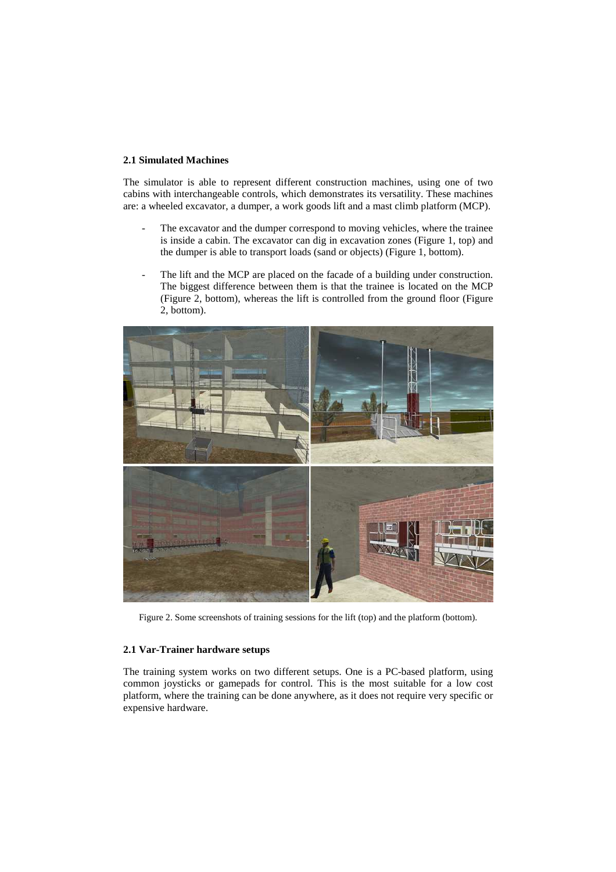#### **2.1 Simulated Machines**

The simulator is able to represent different construction machines, using one of two cabins with interchangeable controls, which demonstrates its versatility. These machines are: a wheeled excavator, a dumper, a work goods lift and a mast climb platform (MCP).

- The excavator and the dumper correspond to moving vehicles, where the trainee is inside a cabin. The excavator can dig in excavation zones (Figure 1, top) and the dumper is able to transport loads (sand or objects) (Figure 1, bottom).
- The lift and the MCP are placed on the facade of a building under construction. The biggest difference between them is that the trainee is located on the MCP (Figure 2, bottom), whereas the lift is controlled from the ground floor (Figure 2, bottom).



Figure 2. Some screenshots of training sessions for the lift (top) and the platform (bottom).

#### **2.1 Var-Trainer hardware setups**

The training system works on two different setups. One is a PC-based platform, using common joysticks or gamepads for control. This is the most suitable for a low cost platform, where the training can be done anywhere, as it does not require very specific or expensive hardware.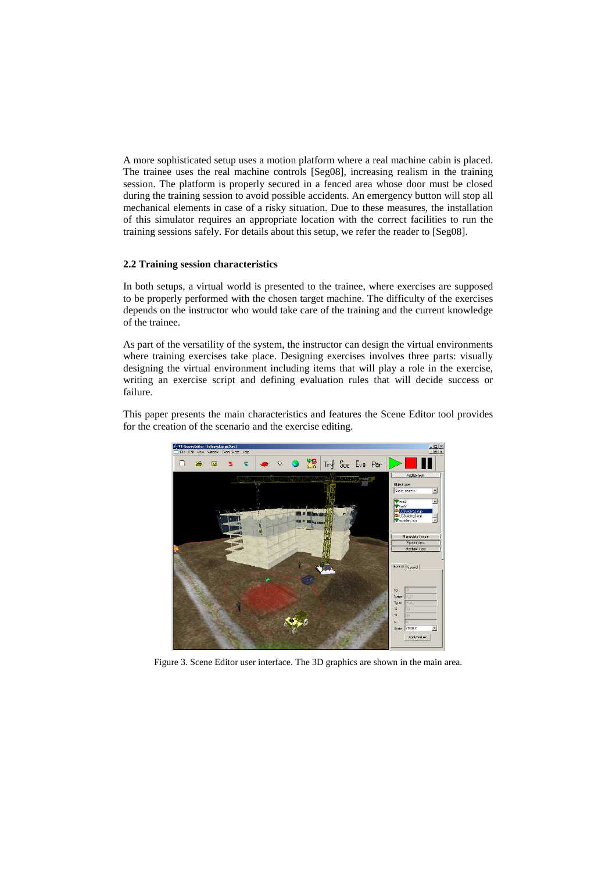A more sophisticated setup uses a motion platform where a real machine cabin is placed. The trainee uses the real machine controls [Seg08], increasing realism in the training session. The platform is properly secured in a fenced area whose door must be closed during the training session to avoid possible accidents. An emergency button will stop all mechanical elements in case of a risky situation. Due to these measures, the installation of this simulator requires an appropriate location with the correct facilities to run the training sessions safely. For details about this setup, we refer the reader to [Seg08].

#### **2.2 Training session characteristics**

In both setups, a virtual world is presented to the trainee, where exercises are supposed to be properly performed with the chosen target machine. The difficulty of the exercises depends on the instructor who would take care of the training and the current knowledge of the trainee.

As part of the versatility of the system, the instructor can design the virtual environments where training exercises take place. Designing exercises involves three parts: visually designing the virtual environment including items that will play a role in the exercise, writing an exercise script and defining evaluation rules that will decide success or failure.

This paper presents the main characteristics and features the Scene Editor tool provides for the creation of the scenario and the exercise editing.



Figure 3. Scene Editor user interface. The 3D graphics are shown in the main area.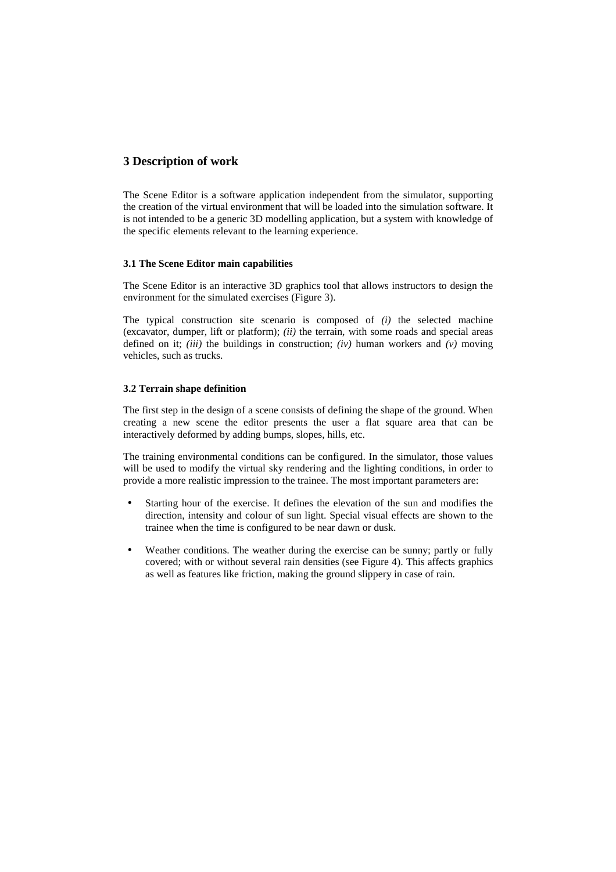## **3 Description of work**

The Scene Editor is a software application independent from the simulator, supporting the creation of the virtual environment that will be loaded into the simulation software. It is not intended to be a generic 3D modelling application, but a system with knowledge of the specific elements relevant to the learning experience.

#### **3.1 The Scene Editor main capabilities**

The Scene Editor is an interactive 3D graphics tool that allows instructors to design the environment for the simulated exercises (Figure 3).

The typical construction site scenario is composed of *(i)* the selected machine (excavator, dumper, lift or platform); *(ii)* the terrain, with some roads and special areas defined on it; *(iii)* the buildings in construction; *(iv)* human workers and *(v)* moving vehicles, such as trucks.

#### **3.2 Terrain shape definition**

The first step in the design of a scene consists of defining the shape of the ground. When creating a new scene the editor presents the user a flat square area that can be interactively deformed by adding bumps, slopes, hills, etc.

The training environmental conditions can be configured. In the simulator, those values will be used to modify the virtual sky rendering and the lighting conditions, in order to provide a more realistic impression to the trainee. The most important parameters are:

- Starting hour of the exercise. It defines the elevation of the sun and modifies the direction, intensity and colour of sun light. Special visual effects are shown to the trainee when the time is configured to be near dawn or dusk.
- Weather conditions. The weather during the exercise can be sunny; partly or fully covered; with or without several rain densities (see Figure 4). This affects graphics as well as features like friction, making the ground slippery in case of rain.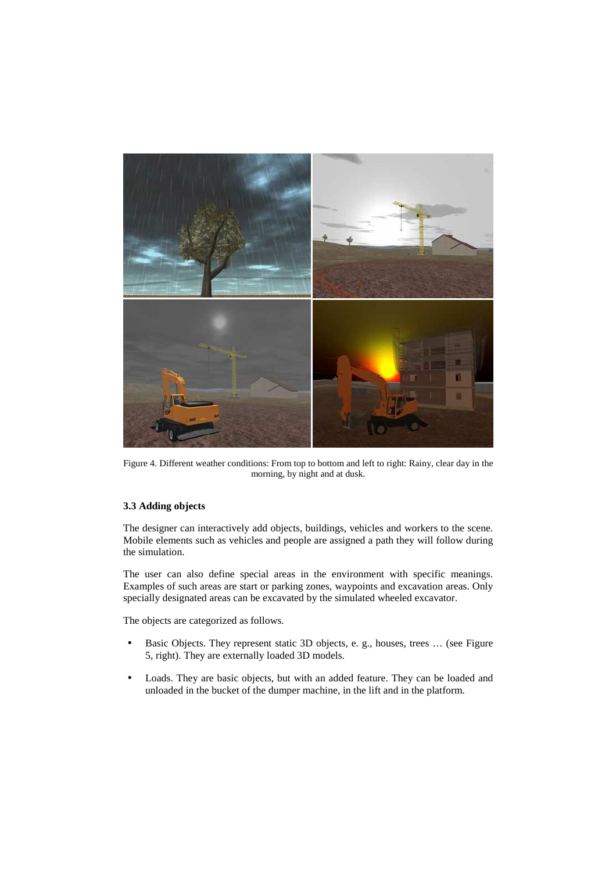

Figure 4. Different weather conditions: From top to bottom and left to right: Rainy, clear day in the morning, by night and at dusk.

#### **3.3 Adding objects**

The designer can interactively add objects, buildings, vehicles and workers to the scene. Mobile elements such as vehicles and people are assigned a path they will follow during the simulation.

The user can also define special areas in the environment with specific meanings. Examples of such areas are start or parking zones, waypoints and excavation areas. Only specially designated areas can be excavated by the simulated wheeled excavator.

The objects are categorized as follows.

- Basic Objects. They represent static 3D objects, e. g., houses, trees … (see Figure 5, right). They are externally loaded 3D models.
- Loads. They are basic objects, but with an added feature. They can be loaded and unloaded in the bucket of the dumper machine, in the lift and in the platform.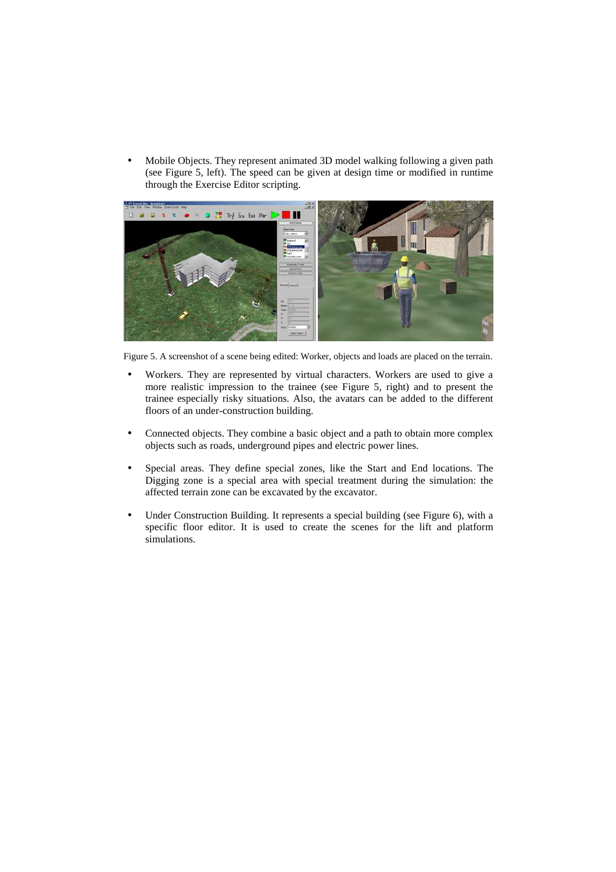• Mobile Objects. They represent animated 3D model walking following a given path (see Figure 5, left). The speed can be given at design time or modified in runtime through the Exercise Editor scripting.



Figure 5. A screenshot of a scene being edited: Worker, objects and loads are placed on the terrain.

- Workers. They are represented by virtual characters. Workers are used to give a more realistic impression to the trainee (see Figure 5, right) and to present the trainee especially risky situations. Also, the avatars can be added to the different floors of an under-construction building.
- Connected objects. They combine a basic object and a path to obtain more complex objects such as roads, underground pipes and electric power lines.
- Special areas. They define special zones, like the Start and End locations. The Digging zone is a special area with special treatment during the simulation: the affected terrain zone can be excavated by the excavator.
- Under Construction Building. It represents a special building (see Figure 6), with a specific floor editor. It is used to create the scenes for the lift and platform simulations.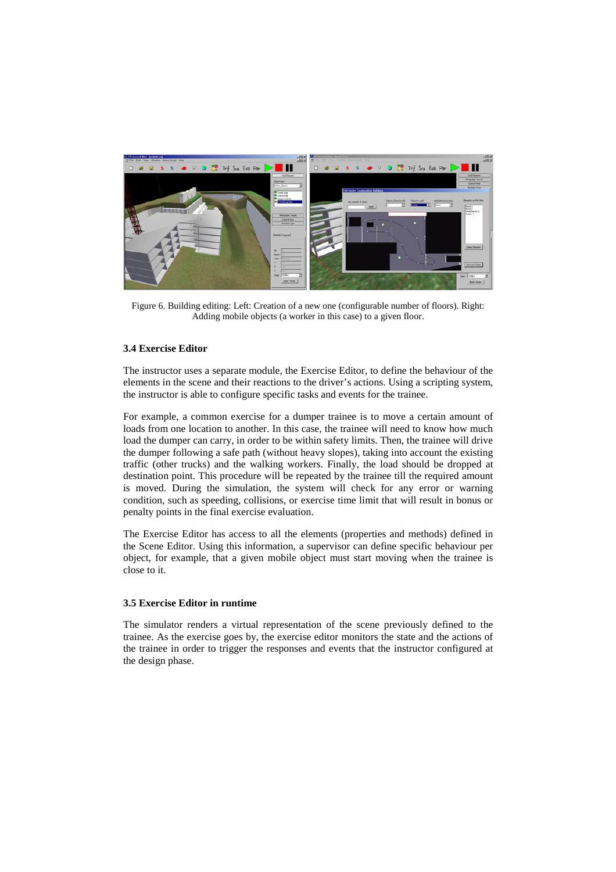

Figure 6. Building editing: Left: Creation of a new one (configurable number of floors). Right: Adding mobile objects (a worker in this case) to a given floor.

#### **3.4 Exercise Editor**

The instructor uses a separate module, the Exercise Editor, to define the behaviour of the elements in the scene and their reactions to the driver's actions. Using a scripting system, the instructor is able to configure specific tasks and events for the trainee.

For example, a common exercise for a dumper trainee is to move a certain amount of loads from one location to another. In this case, the trainee will need to know how much load the dumper can carry, in order to be within safety limits. Then, the trainee will drive the dumper following a safe path (without heavy slopes), taking into account the existing traffic (other trucks) and the walking workers. Finally, the load should be dropped at destination point. This procedure will be repeated by the trainee till the required amount is moved. During the simulation, the system will check for any error or warning condition, such as speeding, collisions, or exercise time limit that will result in bonus or penalty points in the final exercise evaluation.

The Exercise Editor has access to all the elements (properties and methods) defined in the Scene Editor. Using this information, a supervisor can define specific behaviour per object, for example, that a given mobile object must start moving when the trainee is close to it.

#### **3.5 Exercise Editor in runtime**

The simulator renders a virtual representation of the scene previously defined to the trainee. As the exercise goes by, the exercise editor monitors the state and the actions of the trainee in order to trigger the responses and events that the instructor configured at the design phase.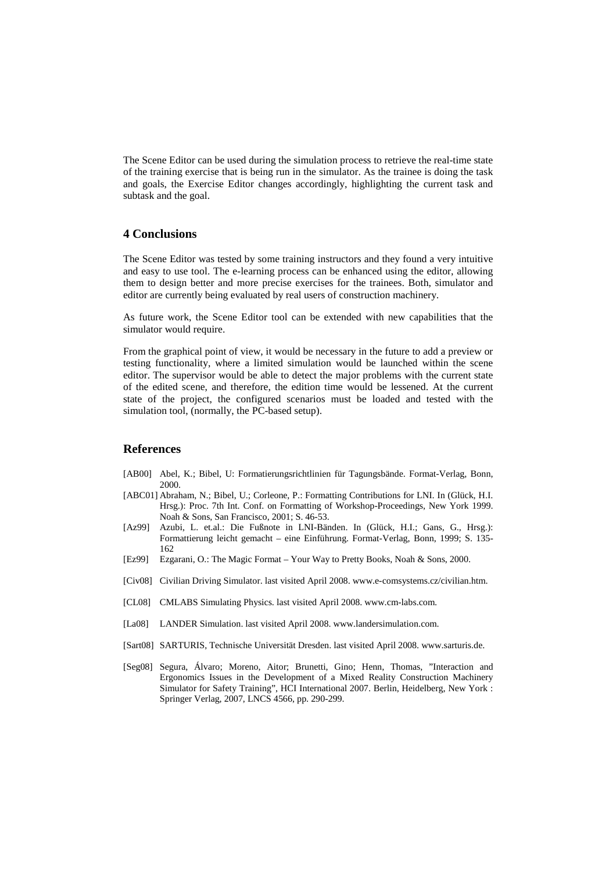The Scene Editor can be used during the simulation process to retrieve the real-time state of the training exercise that is being run in the simulator. As the trainee is doing the task and goals, the Exercise Editor changes accordingly, highlighting the current task and subtask and the goal.

### **4 Conclusions**

The Scene Editor was tested by some training instructors and they found a very intuitive and easy to use tool. The e-learning process can be enhanced using the editor, allowing them to design better and more precise exercises for the trainees. Both, simulator and editor are currently being evaluated by real users of construction machinery.

As future work, the Scene Editor tool can be extended with new capabilities that the simulator would require.

From the graphical point of view, it would be necessary in the future to add a preview or testing functionality, where a limited simulation would be launched within the scene editor. The supervisor would be able to detect the major problems with the current state of the edited scene, and therefore, the edition time would be lessened. At the current state of the project, the configured scenarios must be loaded and tested with the simulation tool, (normally, the PC-based setup).

#### **References**

- [AB00] Abel, K.; Bibel, U: Formatierungsrichtlinien für Tagungsbände. Format-Verlag, Bonn, 2000.
- [ABC01] Abraham, N.; Bibel, U.; Corleone, P.: Formatting Contributions for LNI. In (Glück, H.I. Hrsg.): Proc. 7th Int. Conf. on Formatting of Workshop-Proceedings, New York 1999. Noah & Sons, San Francisco, 2001; S. 46-53.
- [Az99] Azubi, L. et.al.: Die Fußnote in LNI-Bänden. In (Glück, H.I.; Gans, G., Hrsg.): Formattierung leicht gemacht – eine Einführung. Format-Verlag, Bonn, 1999; S. 135- 162
- [Ez99] Ezgarani, O.: The Magic Format Your Way to Pretty Books, Noah & Sons, 2000.
- [Civ08] Civilian Driving Simulator. last visited April 2008. www.e-comsystems.cz/civilian.htm.
- [CL08] CMLABS Simulating Physics. last visited April 2008. www.cm-labs.com.
- [La08] LANDER Simulation. last visited April 2008. www.landersimulation.com.
- [Sart08] SARTURIS, Technische Universität Dresden. last visited April 2008. www.sarturis.de.
- [Seg08] Segura, Álvaro; Moreno, Aitor; Brunetti, Gino; Henn, Thomas, "Interaction and Ergonomics Issues in the Development of a Mixed Reality Construction Machinery Simulator for Safety Training", HCI International 2007. Berlin, Heidelberg, New York : Springer Verlag, 2007, LNCS 4566, pp. 290-299.